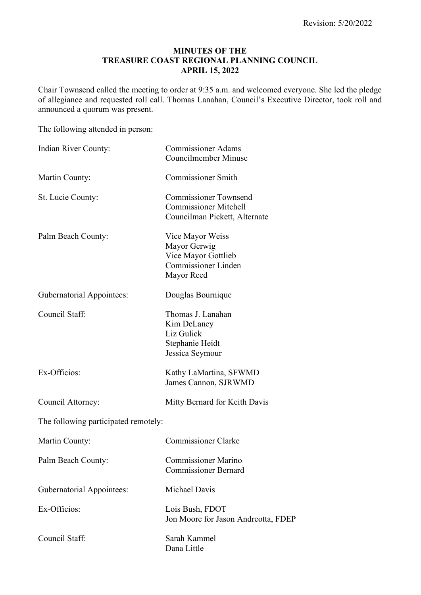#### **MINUTES OF THE TREASURE COAST REGIONAL PLANNING COUNCIL APRIL 15, 2022**

Chair Townsend called the meeting to order at 9:35 a.m. and welcomed everyone. She led the pledge of allegiance and requested roll call. Thomas Lanahan, Council's Executive Director, took roll and announced a quorum was present.

The following attended in person:

| Indian River County:                 | <b>Commissioner Adams</b><br><b>Councilmember Minuse</b>                                            |
|--------------------------------------|-----------------------------------------------------------------------------------------------------|
| Martin County:                       | <b>Commissioner Smith</b>                                                                           |
| St. Lucie County:                    | <b>Commissioner Townsend</b><br><b>Commissioner Mitchell</b><br>Councilman Pickett, Alternate       |
| Palm Beach County:                   | Vice Mayor Weiss<br>Mayor Gerwig<br>Vice Mayor Gottlieb<br><b>Commissioner Linden</b><br>Mayor Reed |
| <b>Gubernatorial Appointees:</b>     | Douglas Bournique                                                                                   |
| Council Staff:                       | Thomas J. Lanahan<br>Kim DeLaney<br>Liz Gulick<br>Stephanie Heidt<br>Jessica Seymour                |
| Ex-Officios:                         | Kathy LaMartina, SFWMD<br>James Cannon, SJRWMD                                                      |
| Council Attorney:                    | Mitty Bernard for Keith Davis                                                                       |
| The following participated remotely: |                                                                                                     |
| Martin County:                       | <b>Commissioner Clarke</b>                                                                          |
| Palm Beach County:                   | <b>Commissioner Marino</b><br><b>Commissioner Bernard</b>                                           |
| <b>Gubernatorial Appointees:</b>     | <b>Michael Davis</b>                                                                                |
| Ex-Officios:                         | Lois Bush, FDOT<br>Jon Moore for Jason Andreotta, FDEP                                              |
| Council Staff:                       | Sarah Kammel<br>Dana Little                                                                         |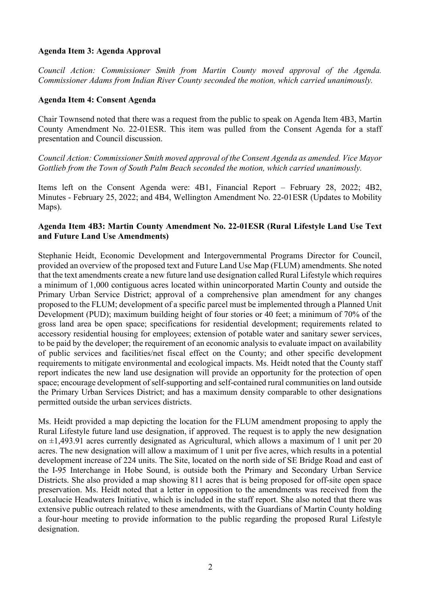#### **Agenda Item 3: Agenda Approval**

*Council Action: Commissioner Smith from Martin County moved approval of the Agenda. Commissioner Adams from Indian River County seconded the motion, which carried unanimously.*

#### **Agenda Item 4: Consent Agenda**

Chair Townsend noted that there was a request from the public to speak on Agenda Item 4B3, Martin County Amendment No. 22-01ESR. This item was pulled from the Consent Agenda for a staff presentation and Council discussion.

*Council Action: Commissioner Smith moved approval of the Consent Agenda as amended. Vice Mayor Gottlieb from the Town of South Palm Beach seconded the motion, which carried unanimously.*

Items left on the Consent Agenda were: 4B1, Financial Report – February 28, 2022; 4B2, Minutes - February 25, 2022; and 4B4, Wellington Amendment No. 22-01ESR (Updates to Mobility Maps).

#### **Agenda Item 4B3: Martin County Amendment No. 22-01ESR (Rural Lifestyle Land Use Text and Future Land Use Amendments)**

Stephanie Heidt, Economic Development and Intergovernmental Programs Director for Council, provided an overview of the proposed text and Future Land Use Map (FLUM) amendments. She noted that the text amendments create a new future land use designation called Rural Lifestyle which requires a minimum of 1,000 contiguous acres located within unincorporated Martin County and outside the Primary Urban Service District; approval of a comprehensive plan amendment for any changes proposed to the FLUM; development of a specific parcel must be implemented through a Planned Unit Development (PUD); maximum building height of four stories or 40 feet; a minimum of 70% of the gross land area be open space; specifications for residential development; requirements related to accessory residential housing for employees; extension of potable water and sanitary sewer services, to be paid by the developer; the requirement of an economic analysis to evaluate impact on availability of public services and facilities/net fiscal effect on the County; and other specific development requirements to mitigate environmental and ecological impacts. Ms. Heidt noted that the County staff report indicates the new land use designation will provide an opportunity for the protection of open space; encourage development of self-supporting and self-contained rural communities on land outside the Primary Urban Services District; and has a maximum density comparable to other designations permitted outside the urban services districts.

Ms. Heidt provided a map depicting the location for the FLUM amendment proposing to apply the Rural Lifestyle future land use designation, if approved. The request is to apply the new designation on  $\pm 1,493.91$  acres currently designated as Agricultural, which allows a maximum of 1 unit per 20 acres. The new designation will allow a maximum of 1 unit per five acres, which results in a potential development increase of 224 units. The Site, located on the north side of SE Bridge Road and east of the I-95 Interchange in Hobe Sound, is outside both the Primary and Secondary Urban Service Districts. She also provided a map showing 811 acres that is being proposed for off-site open space preservation. Ms. Heidt noted that a letter in opposition to the amendments was received from the Loxalucie Headwaters Initiative, which is included in the staff report. She also noted that there was extensive public outreach related to these amendments, with the Guardians of Martin County holding a four-hour meeting to provide information to the public regarding the proposed Rural Lifestyle designation.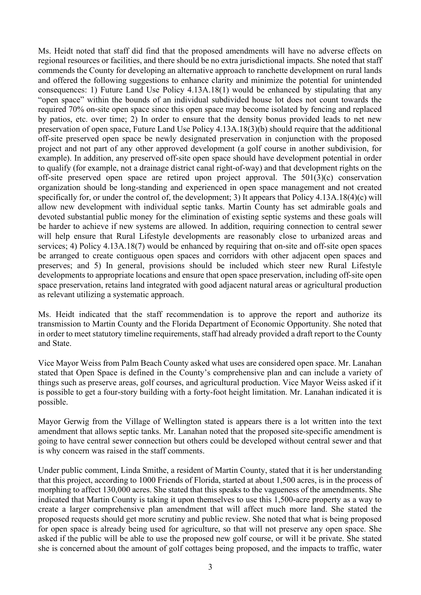Ms. Heidt noted that staff did find that the proposed amendments will have no adverse effects on regional resources or facilities, and there should be no extra jurisdictional impacts. She noted that staff commends the County for developing an alternative approach to ranchette development on rural lands and offered the following suggestions to enhance clarity and minimize the potential for unintended consequences: 1) Future Land Use Policy 4.13A.18(1) would be enhanced by stipulating that any "open space" within the bounds of an individual subdivided house lot does not count towards the required 70% on-site open space since this open space may become isolated by fencing and replaced by patios, etc. over time; 2) In order to ensure that the density bonus provided leads to net new preservation of open space, Future Land Use Policy 4.13A.18(3)(b) should require that the additional off-site preserved open space be newly designated preservation in conjunction with the proposed project and not part of any other approved development (a golf course in another subdivision, for example). In addition, any preserved off-site open space should have development potential in order to qualify (for example, not a drainage district canal right-of-way) and that development rights on the off-site preserved open space are retired upon project approval. The 501(3)(c) conservation organization should be long-standing and experienced in open space management and not created specifically for, or under the control of, the development; 3) It appears that Policy 4.13A.18(4)(c) will allow new development with individual septic tanks. Martin County has set admirable goals and devoted substantial public money for the elimination of existing septic systems and these goals will be harder to achieve if new systems are allowed. In addition, requiring connection to central sewer will help ensure that Rural Lifestyle developments are reasonably close to urbanized areas and services; 4) Policy 4.13A.18(7) would be enhanced by requiring that on-site and off-site open spaces be arranged to create contiguous open spaces and corridors with other adjacent open spaces and preserves; and 5) In general, provisions should be included which steer new Rural Lifestyle developments to appropriate locations and ensure that open space preservation, including off-site open space preservation, retains land integrated with good adjacent natural areas or agricultural production as relevant utilizing a systematic approach.

Ms. Heidt indicated that the staff recommendation is to approve the report and authorize its transmission to Martin County and the Florida Department of Economic Opportunity. She noted that in order to meet statutory timeline requirements, staff had already provided a draft report to the County and State.

Vice Mayor Weiss from Palm Beach County asked what uses are considered open space. Mr. Lanahan stated that Open Space is defined in the County's comprehensive plan and can include a variety of things such as preserve areas, golf courses, and agricultural production. Vice Mayor Weiss asked if it is possible to get a four-story building with a forty-foot height limitation. Mr. Lanahan indicated it is possible.

Mayor Gerwig from the Village of Wellington stated is appears there is a lot written into the text amendment that allows septic tanks. Mr. Lanahan noted that the proposed site-specific amendment is going to have central sewer connection but others could be developed without central sewer and that is why concern was raised in the staff comments.

Under public comment, Linda Smithe, a resident of Martin County, stated that it is her understanding that this project, according to 1000 Friends of Florida, started at about 1,500 acres, is in the process of morphing to affect 130,000 acres. She stated that this speaks to the vagueness of the amendments. She indicated that Martin County is taking it upon themselves to use this 1,500-acre property as a way to create a larger comprehensive plan amendment that will affect much more land. She stated the proposed requests should get more scrutiny and public review. She noted that what is being proposed for open space is already being used for agriculture, so that will not preserve any open space. She asked if the public will be able to use the proposed new golf course, or will it be private. She stated she is concerned about the amount of golf cottages being proposed, and the impacts to traffic, water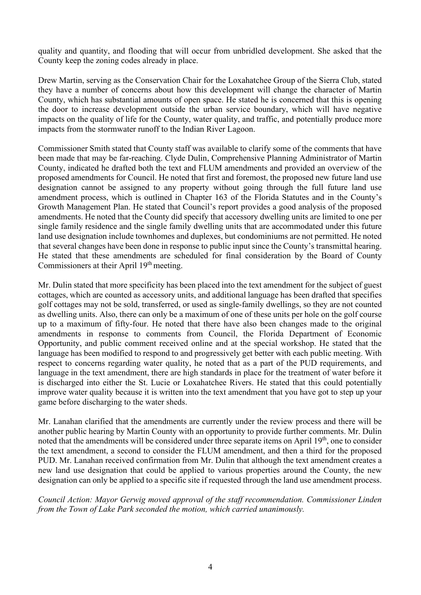quality and quantity, and flooding that will occur from unbridled development. She asked that the County keep the zoning codes already in place.

Drew Martin, serving as the Conservation Chair for the Loxahatchee Group of the Sierra Club, stated they have a number of concerns about how this development will change the character of Martin County, which has substantial amounts of open space. He stated he is concerned that this is opening the door to increase development outside the urban service boundary, which will have negative impacts on the quality of life for the County, water quality, and traffic, and potentially produce more impacts from the stormwater runoff to the Indian River Lagoon.

Commissioner Smith stated that County staff was available to clarify some of the comments that have been made that may be far-reaching. Clyde Dulin, Comprehensive Planning Administrator of Martin County, indicated he drafted both the text and FLUM amendments and provided an overview of the proposed amendments for Council. He noted that first and foremost, the proposed new future land use designation cannot be assigned to any property without going through the full future land use amendment process, which is outlined in Chapter 163 of the Florida Statutes and in the County's Growth Management Plan. He stated that Council's report provides a good analysis of the proposed amendments. He noted that the County did specify that accessory dwelling units are limited to one per single family residence and the single family dwelling units that are accommodated under this future land use designation include townhomes and duplexes, but condominiums are not permitted. He noted that several changes have been done in response to public input since the County's transmittal hearing. He stated that these amendments are scheduled for final consideration by the Board of County Commissioners at their April 19<sup>th</sup> meeting.

Mr. Dulin stated that more specificity has been placed into the text amendment for the subject of guest cottages, which are counted as accessory units, and additional language has been drafted that specifies golf cottages may not be sold, transferred, or used as single-family dwellings, so they are not counted as dwelling units. Also, there can only be a maximum of one of these units per hole on the golf course up to a maximum of fifty-four. He noted that there have also been changes made to the original amendments in response to comments from Council, the Florida Department of Economic Opportunity, and public comment received online and at the special workshop. He stated that the language has been modified to respond to and progressively get better with each public meeting. With respect to concerns regarding water quality, he noted that as a part of the PUD requirements, and language in the text amendment, there are high standards in place for the treatment of water before it is discharged into either the St. Lucie or Loxahatchee Rivers. He stated that this could potentially improve water quality because it is written into the text amendment that you have got to step up your game before discharging to the water sheds.

Mr. Lanahan clarified that the amendments are currently under the review process and there will be another public hearing by Martin County with an opportunity to provide further comments. Mr. Dulin noted that the amendments will be considered under three separate items on April 19<sup>th</sup>, one to consider the text amendment, a second to consider the FLUM amendment, and then a third for the proposed PUD. Mr. Lanahan received confirmation from Mr. Dulin that although the text amendment creates a new land use designation that could be applied to various properties around the County, the new designation can only be applied to a specific site if requested through the land use amendment process.

*Council Action: Mayor Gerwig moved approval of the staff recommendation. Commissioner Linden from the Town of Lake Park seconded the motion, which carried unanimously.*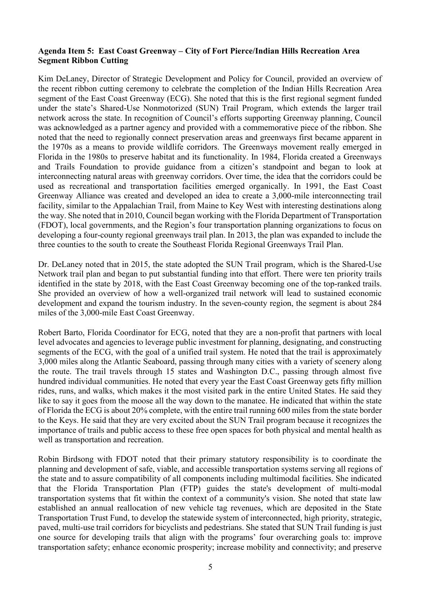#### **Agenda Item 5: East Coast Greenway – City of Fort Pierce/Indian Hills Recreation Area Segment Ribbon Cutting**

Kim DeLaney, Director of Strategic Development and Policy for Council, provided an overview of the recent ribbon cutting ceremony to celebrate the completion of the Indian Hills Recreation Area segment of the East Coast Greenway (ECG). She noted that this is the first regional segment funded under the state's Shared-Use Nonmotorized (SUN) Trail Program, which extends the larger trail network across the state. In recognition of Council's efforts supporting Greenway planning, Council was acknowledged as a partner agency and provided with a commemorative piece of the ribbon. She noted that the need to regionally connect preservation areas and greenways first became apparent in the 1970s as a means to provide wildlife corridors. The Greenways movement really emerged in Florida in the 1980s to preserve habitat and its functionality. In 1984, Florida created a Greenways and Trails Foundation to provide guidance from a citizen's standpoint and began to look at interconnecting natural areas with greenway corridors. Over time, the idea that the corridors could be used as recreational and transportation facilities emerged organically. In 1991, the East Coast Greenway Alliance was created and developed an idea to create a 3,000-mile interconnecting trail facility, similar to the Appalachian Trail, from Maine to Key West with interesting destinations along the way. She noted that in 2010, Council began working with the Florida Department of Transportation (FDOT), local governments, and the Region's four transportation planning organizations to focus on developing a four-county regional greenways trail plan. In 2013, the plan was expanded to include the three counties to the south to create the Southeast Florida Regional Greenways Trail Plan.

Dr. DeLaney noted that in 2015, the state adopted the SUN Trail program, which is the Shared-Use Network trail plan and began to put substantial funding into that effort. There were ten priority trails identified in the state by 2018, with the East Coast Greenway becoming one of the top-ranked trails. She provided an overview of how a well-organized trail network will lead to sustained economic development and expand the tourism industry. In the seven-county region, the segment is about 284 miles of the 3,000-mile East Coast Greenway.

Robert Barto, Florida Coordinator for ECG, noted that they are a non-profit that partners with local level advocates and agencies to leverage public investment for planning, designating, and constructing segments of the ECG, with the goal of a unified trail system. He noted that the trail is approximately 3,000 miles along the Atlantic Seaboard, passing through many cities with a variety of scenery along the route. The trail travels through 15 states and Washington D.C., passing through almost five hundred individual communities. He noted that every year the East Coast Greenway gets fifty million rides, runs, and walks, which makes it the most visited park in the entire United States. He said they like to say it goes from the moose all the way down to the manatee. He indicated that within the state of Florida the ECG is about 20% complete, with the entire trail running 600 miles from the state border to the Keys. He said that they are very excited about the SUN Trail program because it recognizes the importance of trails and public access to these free open spaces for both physical and mental health as well as transportation and recreation.

Robin Birdsong with FDOT noted that their primary statutory responsibility is to coordinate the planning and development of safe, viable, and accessible transportation systems serving all regions of the state and to assure compatibility of all components including multimodal facilities. She indicated that the Florida Transportation Plan (FTP) guides the state's development of multi-modal transportation systems that fit within the context of a community's vision. She noted that state law established an annual reallocation of new vehicle tag revenues, which are deposited in the State Transportation Trust Fund, to develop the statewide system of interconnected, high priority, strategic, paved, multi-use trail corridors for bicyclists and pedestrians. She stated that SUN Trail funding is just one source for developing trails that align with the programs' four overarching goals to: improve transportation safety; enhance economic prosperity; increase mobility and connectivity; and preserve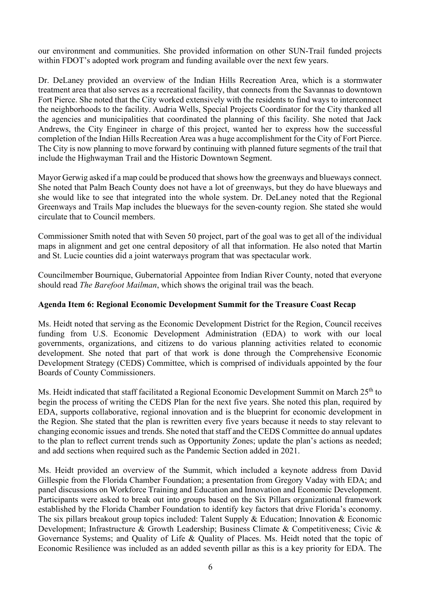our environment and communities. She provided information on other SUN-Trail funded projects within FDOT's adopted work program and funding available over the next few years.

Dr. DeLaney provided an overview of the Indian Hills Recreation Area, which is a stormwater treatment area that also serves as a recreational facility, that connects from the Savannas to downtown Fort Pierce. She noted that the City worked extensively with the residents to find ways to interconnect the neighborhoods to the facility. Audria Wells, Special Projects Coordinator for the City thanked all the agencies and municipalities that coordinated the planning of this facility. She noted that Jack Andrews, the City Engineer in charge of this project, wanted her to express how the successful completion of the Indian Hills Recreation Area was a huge accomplishment for the City of Fort Pierce. The City is now planning to move forward by continuing with planned future segments of the trail that include the Highwayman Trail and the Historic Downtown Segment.

Mayor Gerwig asked if a map could be produced that shows how the greenways and blueways connect. She noted that Palm Beach County does not have a lot of greenways, but they do have blueways and she would like to see that integrated into the whole system. Dr. DeLaney noted that the Regional Greenways and Trails Map includes the blueways for the seven-county region. She stated she would circulate that to Council members.

Commissioner Smith noted that with Seven 50 project, part of the goal was to get all of the individual maps in alignment and get one central depository of all that information. He also noted that Martin and St. Lucie counties did a joint waterways program that was spectacular work.

Councilmember Bournique, Gubernatorial Appointee from Indian River County, noted that everyone should read *The Barefoot Mailman*, which shows the original trail was the beach.

# **Agenda Item 6: Regional Economic Development Summit for the Treasure Coast Recap**

Ms. Heidt noted that serving as the Economic Development District for the Region, Council receives funding from U.S. Economic Development Administration (EDA) to work with our local governments, organizations, and citizens to do various planning activities related to economic development. She noted that part of that work is done through the Comprehensive Economic Development Strategy (CEDS) Committee, which is comprised of individuals appointed by the four Boards of County Commissioners.

Ms. Heidt indicated that staff facilitated a Regional Economic Development Summit on March 25<sup>th</sup> to begin the process of writing the CEDS Plan for the next five years. She noted this plan, required by EDA, supports collaborative, regional innovation and is the blueprint for economic development in the Region. She stated that the plan is rewritten every five years because it needs to stay relevant to changing economic issues and trends. She noted that staff and the CEDS Committee do annual updates to the plan to reflect current trends such as Opportunity Zones; update the plan's actions as needed; and add sections when required such as the Pandemic Section added in 2021.

Ms. Heidt provided an overview of the Summit, which included a keynote address from David Gillespie from the Florida Chamber Foundation; a presentation from Gregory Vaday with EDA; and panel discussions on Workforce Training and Education and Innovation and Economic Development. Participants were asked to break out into groups based on the Six Pillars organizational framework established by the Florida Chamber Foundation to identify key factors that drive Florida's economy. The six pillars breakout group topics included: Talent Supply & Education; Innovation & Economic Development; Infrastructure & Growth Leadership; Business Climate & Competitiveness; Civic & Governance Systems; and Quality of Life & Quality of Places. Ms. Heidt noted that the topic of Economic Resilience was included as an added seventh pillar as this is a key priority for EDA. The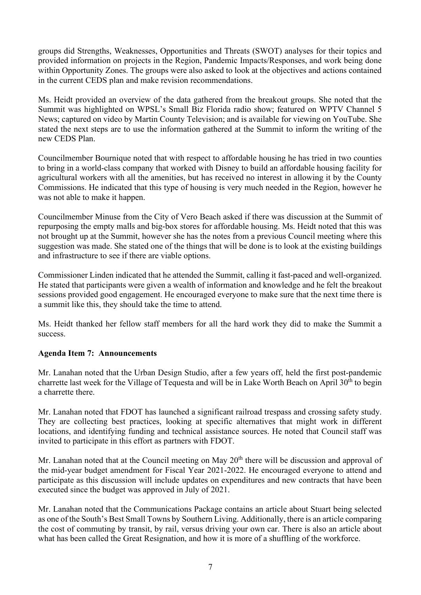groups did Strengths, Weaknesses, Opportunities and Threats (SWOT) analyses for their topics and provided information on projects in the Region, Pandemic Impacts/Responses, and work being done within Opportunity Zones. The groups were also asked to look at the objectives and actions contained in the current CEDS plan and make revision recommendations.

Ms. Heidt provided an overview of the data gathered from the breakout groups. She noted that the Summit was highlighted on WPSL's Small Biz Florida radio show; featured on WPTV Channel 5 News; captured on video by Martin County Television; and is available for viewing on YouTube. She stated the next steps are to use the information gathered at the Summit to inform the writing of the new CEDS Plan.

Councilmember Bournique noted that with respect to affordable housing he has tried in two counties to bring in a world-class company that worked with Disney to build an affordable housing facility for agricultural workers with all the amenities, but has received no interest in allowing it by the County Commissions. He indicated that this type of housing is very much needed in the Region, however he was not able to make it happen.

Councilmember Minuse from the City of Vero Beach asked if there was discussion at the Summit of repurposing the empty malls and big-box stores for affordable housing. Ms. Heidt noted that this was not brought up at the Summit, however she has the notes from a previous Council meeting where this suggestion was made. She stated one of the things that will be done is to look at the existing buildings and infrastructure to see if there are viable options.

Commissioner Linden indicated that he attended the Summit, calling it fast-paced and well-organized. He stated that participants were given a wealth of information and knowledge and he felt the breakout sessions provided good engagement. He encouraged everyone to make sure that the next time there is a summit like this, they should take the time to attend.

Ms. Heidt thanked her fellow staff members for all the hard work they did to make the Summit a success.

# **Agenda Item 7: Announcements**

Mr. Lanahan noted that the Urban Design Studio, after a few years off, held the first post-pandemic charrette last week for the Village of Tequesta and will be in Lake Worth Beach on April  $30<sup>th</sup>$  to begin a charrette there.

Mr. Lanahan noted that FDOT has launched a significant railroad trespass and crossing safety study. They are collecting best practices, looking at specific alternatives that might work in different locations, and identifying funding and technical assistance sources. He noted that Council staff was invited to participate in this effort as partners with FDOT.

Mr. Lanahan noted that at the Council meeting on May 20<sup>th</sup> there will be discussion and approval of the mid-year budget amendment for Fiscal Year 2021-2022. He encouraged everyone to attend and participate as this discussion will include updates on expenditures and new contracts that have been executed since the budget was approved in July of 2021.

Mr. Lanahan noted that the Communications Package contains an article about Stuart being selected as one of the South's Best Small Towns by Southern Living. Additionally, there is an article comparing the cost of commuting by transit, by rail, versus driving your own car. There is also an article about what has been called the Great Resignation, and how it is more of a shuffling of the workforce.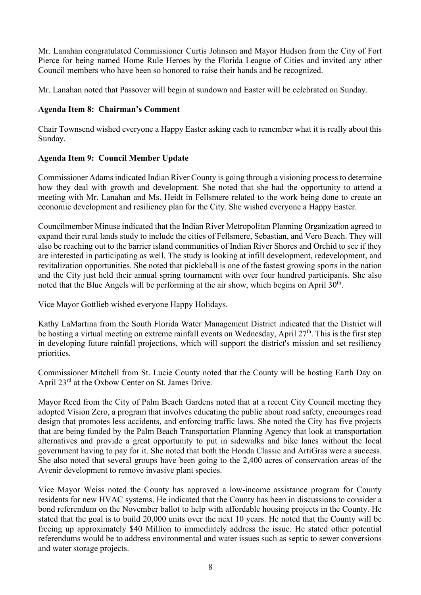Mr. Lanahan congratulated Commissioner Curtis Johnson and Mayor Hudson from the City of Fort Pierce for being named Home Rule Heroes by the Florida League of Cities and invited any other Council members who have been so honored to raise their hands and be recognized.

Mr. Lanahan noted that Passover will begin at sundown and Easter will be celebrated on Sunday.

# **Agenda Item 8: Chairman's Comment**

Chair Townsend wished everyone a Happy Easter asking each to remember what it is really about this Sunday.

# **Agenda Item 9: Council Member Update**

Commissioner Adams indicated Indian River County is going through a visioning process to determine how they deal with growth and development. She noted that she had the opportunity to attend a meeting with Mr. Lanahan and Ms. Heidt in Fellsmere related to the work being done to create an economic development and resiliency plan for the City. She wished everyone a Happy Easter.

Councilmember Minuse indicated that the Indian River Metropolitan Planning Organization agreed to expand their rural lands study to include the cities of Fellsmere, Sebastian, and Vero Beach. They will also be reaching out to the barrier island communities of Indian River Shores and Orchid to see if they are interested in participating as well. The study is looking at infill development, redevelopment, and revitalization opportunities. She noted that pickleball is one of the fastest growing sports in the nation and the City just held their annual spring tournament with over four hundred participants. She also noted that the Blue Angels will be performing at the air show, which begins on April  $30<sup>th</sup>$ .

Vice Mayor Gottlieb wished everyone Happy Holidays.

Kathy LaMartina from the South Florida Water Management District indicated that the District will be hosting a virtual meeting on extreme rainfall events on Wednesday, April 27<sup>th</sup>. This is the first step in developing future rainfall projections, which will support the district's mission and set resiliency priorities.

Commissioner Mitchell from St. Lucie County noted that the County will be hosting Earth Day on April 23<sup>rd</sup> at the Oxbow Center on St. James Drive.

Mayor Reed from the City of Palm Beach Gardens noted that at a recent City Council meeting they adopted Vision Zero, a program that involves educating the public about road safety, encourages road design that promotes less accidents, and enforcing traffic laws. She noted the City has five projects that are being funded by the Palm Beach Transportation Planning Agency that look at transportation alternatives and provide a great opportunity to put in sidewalks and bike lanes without the local government having to pay for it. She noted that both the Honda Classic and ArtiGras were a success. She also noted that several groups have been going to the 2,400 acres of conservation areas of the Avenir development to remove invasive plant species.

Vice Mayor Weiss noted the County has approved a low-income assistance program for County residents for new HVAC systems. He indicated that the County has been in discussions to consider a bond referendum on the November ballot to help with affordable housing projects in the County. He stated that the goal is to build 20,000 units over the next 10 years. He noted that the County will be freeing up approximately \$40 Million to immediately address the issue. He stated other potential referendums would be to address environmental and water issues such as septic to sewer conversions and water storage projects.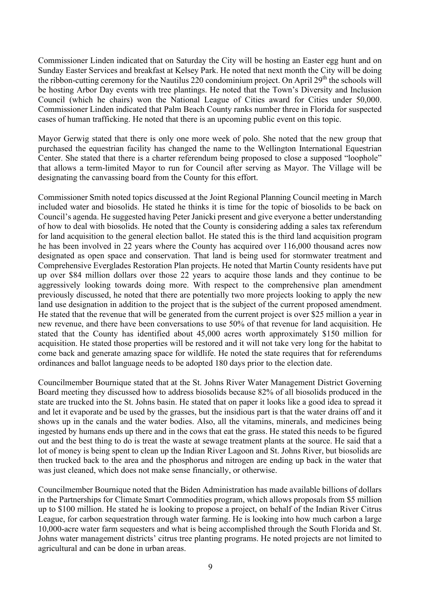Commissioner Linden indicated that on Saturday the City will be hosting an Easter egg hunt and on Sunday Easter Services and breakfast at Kelsey Park. He noted that next month the City will be doing the ribbon-cutting ceremony for the Nautilus 220 condominium project. On April 29<sup>th</sup> the schools will be hosting Arbor Day events with tree plantings. He noted that the Town's Diversity and Inclusion Council (which he chairs) won the National League of Cities award for Cities under 50,000. Commissioner Linden indicated that Palm Beach County ranks number three in Florida for suspected cases of human trafficking. He noted that there is an upcoming public event on this topic.

Mayor Gerwig stated that there is only one more week of polo. She noted that the new group that purchased the equestrian facility has changed the name to the Wellington International Equestrian Center. She stated that there is a charter referendum being proposed to close a supposed "loophole" that allows a term-limited Mayor to run for Council after serving as Mayor. The Village will be designating the canvassing board from the County for this effort.

Commissioner Smith noted topics discussed at the Joint Regional Planning Council meeting in March included water and biosolids. He stated he thinks it is time for the topic of biosolids to be back on Council's agenda. He suggested having Peter Janicki present and give everyone a better understanding of how to deal with biosolids. He noted that the County is considering adding a sales tax referendum for land acquisition to the general election ballot. He stated this is the third land acquisition program he has been involved in 22 years where the County has acquired over 116,000 thousand acres now designated as open space and conservation. That land is being used for stormwater treatment and Comprehensive Everglades Restoration Plan projects. He noted that Martin County residents have put up over \$84 million dollars over those 22 years to acquire those lands and they continue to be aggressively looking towards doing more. With respect to the comprehensive plan amendment previously discussed, he noted that there are potentially two more projects looking to apply the new land use designation in addition to the project that is the subject of the current proposed amendment. He stated that the revenue that will be generated from the current project is over \$25 million a year in new revenue, and there have been conversations to use 50% of that revenue for land acquisition. He stated that the County has identified about 45,000 acres worth approximately \$150 million for acquisition. He stated those properties will be restored and it will not take very long for the habitat to come back and generate amazing space for wildlife. He noted the state requires that for referendums ordinances and ballot language needs to be adopted 180 days prior to the election date.

Councilmember Bournique stated that at the St. Johns River Water Management District Governing Board meeting they discussed how to address biosolids because 82% of all biosolids produced in the state are trucked into the St. Johns basin. He stated that on paper it looks like a good idea to spread it and let it evaporate and be used by the grasses, but the insidious part is that the water drains off and it shows up in the canals and the water bodies. Also, all the vitamins, minerals, and medicines being ingested by humans ends up there and in the cows that eat the grass. He stated this needs to be figured out and the best thing to do is treat the waste at sewage treatment plants at the source. He said that a lot of money is being spent to clean up the Indian River Lagoon and St. Johns River, but biosolids are then trucked back to the area and the phosphorus and nitrogen are ending up back in the water that was just cleaned, which does not make sense financially, or otherwise.

Councilmember Bournique noted that the Biden Administration has made available billions of dollars in the Partnerships for Climate Smart Commodities program, which allows proposals from \$5 million up to \$100 million. He stated he is looking to propose a project, on behalf of the Indian River Citrus League, for carbon sequestration through water farming. He is looking into how much carbon a large 10,000-acre water farm sequesters and what is being accomplished through the South Florida and St. Johns water management districts' citrus tree planting programs. He noted projects are not limited to agricultural and can be done in urban areas.